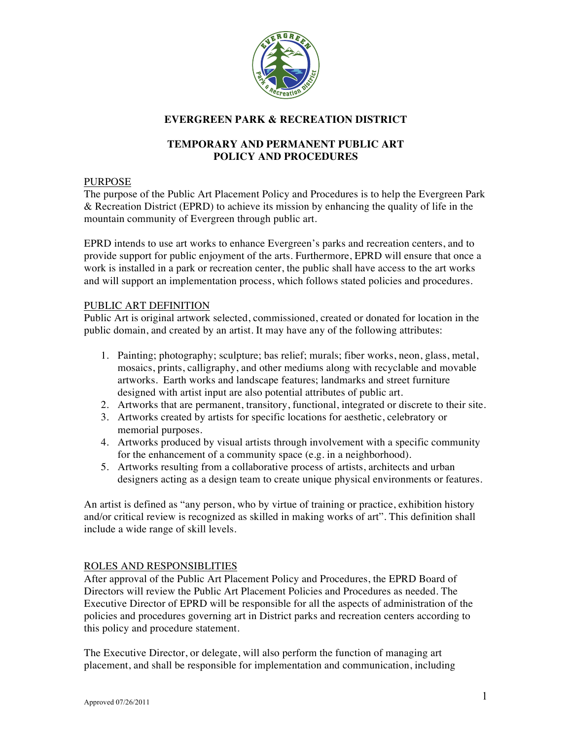

# **EVERGREEN PARK & RECREATION DISTRICT**

## **TEMPORARY AND PERMANENT PUBLIC ART POLICY AND PROCEDURES**

#### PURPOSE

The purpose of the Public Art Placement Policy and Procedures is to help the Evergreen Park & Recreation District (EPRD) to achieve its mission by enhancing the quality of life in the mountain community of Evergreen through public art.

EPRD intends to use art works to enhance Evergreen's parks and recreation centers, and to provide support for public enjoyment of the arts. Furthermore, EPRD will ensure that once a work is installed in a park or recreation center, the public shall have access to the art works and will support an implementation process, which follows stated policies and procedures.

#### PUBLIC ART DEFINITION

Public Art is original artwork selected, commissioned, created or donated for location in the public domain, and created by an artist. It may have any of the following attributes:

- 1. Painting; photography; sculpture; bas relief; murals; fiber works, neon, glass, metal, mosaics, prints, calligraphy, and other mediums along with recyclable and movable artworks. Earth works and landscape features; landmarks and street furniture designed with artist input are also potential attributes of public art.
- 2. Artworks that are permanent, transitory, functional, integrated or discrete to their site.
- 3. Artworks created by artists for specific locations for aesthetic, celebratory or memorial purposes.
- 4. Artworks produced by visual artists through involvement with a specific community for the enhancement of a community space (e.g. in a neighborhood).
- 5. Artworks resulting from a collaborative process of artists, architects and urban designers acting as a design team to create unique physical environments or features.

An artist is defined as "any person, who by virtue of training or practice, exhibition history and/or critical review is recognized as skilled in making works of art". This definition shall include a wide range of skill levels.

#### ROLES AND RESPONSIBLITIES

After approval of the Public Art Placement Policy and Procedures, the EPRD Board of Directors will review the Public Art Placement Policies and Procedures as needed. The Executive Director of EPRD will be responsible for all the aspects of administration of the policies and procedures governing art in District parks and recreation centers according to this policy and procedure statement.

The Executive Director, or delegate, will also perform the function of managing art placement, and shall be responsible for implementation and communication, including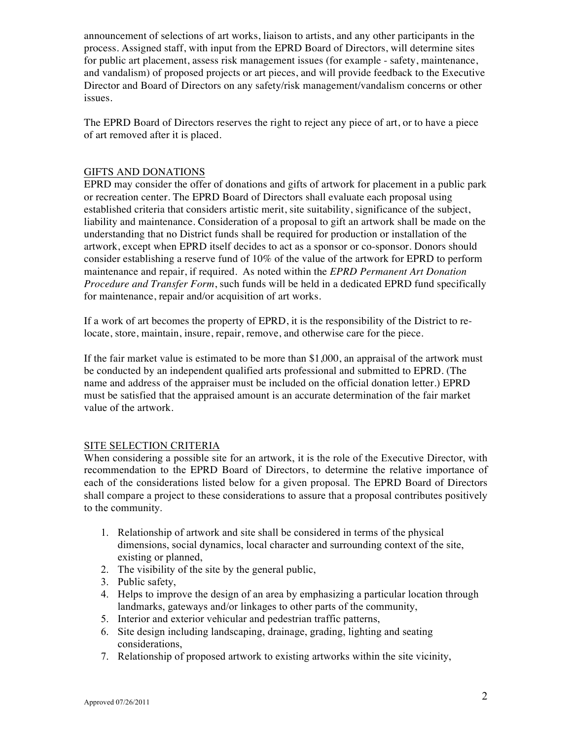announcement of selections of art works, liaison to artists, and any other participants in the process. Assigned staff, with input from the EPRD Board of Directors, will determine sites for public art placement, assess risk management issues (for example - safety, maintenance, and vandalism) of proposed projects or art pieces, and will provide feedback to the Executive Director and Board of Directors on any safety/risk management/vandalism concerns or other issues.

The EPRD Board of Directors reserves the right to reject any piece of art, or to have a piece of art removed after it is placed.

### GIFTS AND DONATIONS

EPRD may consider the offer of donations and gifts of artwork for placement in a public park or recreation center. The EPRD Board of Directors shall evaluate each proposal using established criteria that considers artistic merit, site suitability, significance of the subject, liability and maintenance. Consideration of a proposal to gift an artwork shall be made on the understanding that no District funds shall be required for production or installation of the artwork, except when EPRD itself decides to act as a sponsor or co-sponsor. Donors should consider establishing a reserve fund of 10% of the value of the artwork for EPRD to perform maintenance and repair, if required. As noted within the *EPRD Permanent Art Donation Procedure and Transfer Form*, such funds will be held in a dedicated EPRD fund specifically for maintenance, repair and/or acquisition of art works.

If a work of art becomes the property of EPRD, it is the responsibility of the District to relocate, store, maintain, insure, repair, remove, and otherwise care for the piece.

If the fair market value is estimated to be more than \$1,000, an appraisal of the artwork must be conducted by an independent qualified arts professional and submitted to EPRD. (The name and address of the appraiser must be included on the official donation letter.) EPRD must be satisfied that the appraised amount is an accurate determination of the fair market value of the artwork.

## SITE SELECTION CRITERIA

When considering a possible site for an artwork, it is the role of the Executive Director, with recommendation to the EPRD Board of Directors, to determine the relative importance of each of the considerations listed below for a given proposal. The EPRD Board of Directors shall compare a project to these considerations to assure that a proposal contributes positively to the community.

- 1. Relationship of artwork and site shall be considered in terms of the physical dimensions, social dynamics, local character and surrounding context of the site, existing or planned,
- 2. The visibility of the site by the general public,
- 3. Public safety,
- 4. Helps to improve the design of an area by emphasizing a particular location through landmarks, gateways and/or linkages to other parts of the community,
- 5. Interior and exterior vehicular and pedestrian traffic patterns,
- 6. Site design including landscaping, drainage, grading, lighting and seating considerations,
- 7. Relationship of proposed artwork to existing artworks within the site vicinity,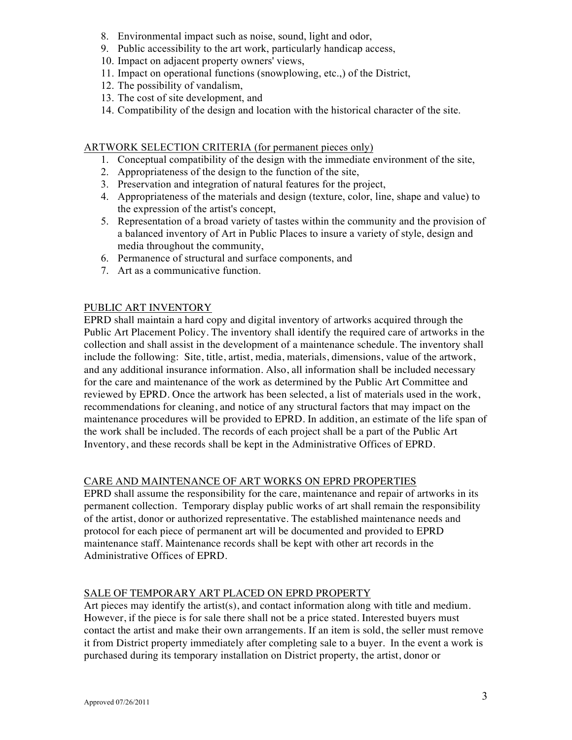- 8. Environmental impact such as noise, sound, light and odor,
- 9. Public accessibility to the art work, particularly handicap access,
- 10. Impact on adjacent property owners' views,
- 11. Impact on operational functions (snowplowing, etc.,) of the District,
- 12. The possibility of vandalism,
- 13. The cost of site development, and
- 14. Compatibility of the design and location with the historical character of the site.

#### ARTWORK SELECTION CRITERIA (for permanent pieces only)

- 1. Conceptual compatibility of the design with the immediate environment of the site,
- 2. Appropriateness of the design to the function of the site,
- 3. Preservation and integration of natural features for the project,
- 4. Appropriateness of the materials and design (texture, color, line, shape and value) to the expression of the artist's concept,
- 5. Representation of a broad variety of tastes within the community and the provision of a balanced inventory of Art in Public Places to insure a variety of style, design and media throughout the community,
- 6. Permanence of structural and surface components, and
- 7. Art as a communicative function.

### PUBLIC ART INVENTORY

EPRD shall maintain a hard copy and digital inventory of artworks acquired through the Public Art Placement Policy. The inventory shall identify the required care of artworks in the collection and shall assist in the development of a maintenance schedule. The inventory shall include the following: Site, title, artist, media, materials, dimensions, value of the artwork, and any additional insurance information. Also, all information shall be included necessary for the care and maintenance of the work as determined by the Public Art Committee and reviewed by EPRD. Once the artwork has been selected, a list of materials used in the work, recommendations for cleaning, and notice of any structural factors that may impact on the maintenance procedures will be provided to EPRD. In addition, an estimate of the life span of the work shall be included. The records of each project shall be a part of the Public Art Inventory, and these records shall be kept in the Administrative Offices of EPRD.

#### CARE AND MAINTENANCE OF ART WORKS ON EPRD PROPERTIES

EPRD shall assume the responsibility for the care, maintenance and repair of artworks in its permanent collection. Temporary display public works of art shall remain the responsibility of the artist, donor or authorized representative. The established maintenance needs and protocol for each piece of permanent art will be documented and provided to EPRD maintenance staff. Maintenance records shall be kept with other art records in the Administrative Offices of EPRD.

## SALE OF TEMPORARY ART PLACED ON EPRD PROPERTY

Art pieces may identify the artist(s), and contact information along with title and medium. However, if the piece is for sale there shall not be a price stated. Interested buyers must contact the artist and make their own arrangements. If an item is sold, the seller must remove it from District property immediately after completing sale to a buyer. In the event a work is purchased during its temporary installation on District property, the artist, donor or